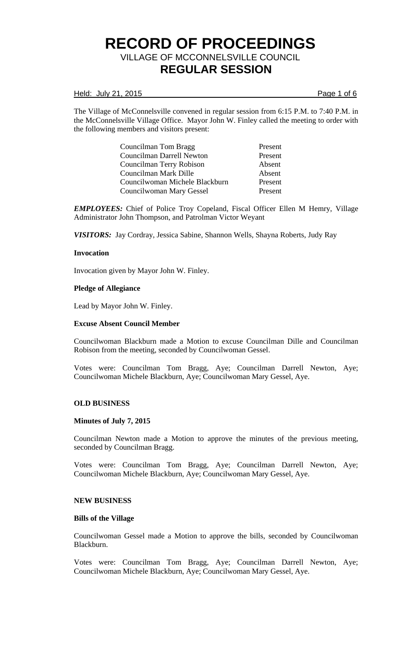### Held: July 21, 2015 **Page 1 of 6**

The Village of McConnelsville convened in regular session from 6:15 P.M. to 7:40 P.M. in the McConnelsville Village Office. Mayor John W. Finley called the meeting to order with the following members and visitors present:

> Councilman Tom Bragg Present Councilman Darrell Newton Present Councilman Terry Robison Absent Councilman Mark Dille Councilwoman Michele Blackburn Present Councilwoman Mary Gessel Present

*EMPLOYEES:* Chief of Police Troy Copeland, Fiscal Officer Ellen M Hemry, Village Administrator John Thompson, and Patrolman Victor Weyant

*VISITORS:* Jay Cordray, Jessica Sabine, Shannon Wells, Shayna Roberts, Judy Ray

### **Invocation**

Invocation given by Mayor John W. Finley.

### **Pledge of Allegiance**

Lead by Mayor John W. Finley.

### **Excuse Absent Council Member**

Councilwoman Blackburn made a Motion to excuse Councilman Dille and Councilman Robison from the meeting, seconded by Councilwoman Gessel.

Votes were: Councilman Tom Bragg, Aye; Councilman Darrell Newton, Aye; Councilwoman Michele Blackburn, Aye; Councilwoman Mary Gessel, Aye.

### **OLD BUSINESS**

### **Minutes of July 7, 2015**

Councilman Newton made a Motion to approve the minutes of the previous meeting, seconded by Councilman Bragg.

Votes were: Councilman Tom Bragg, Aye; Councilman Darrell Newton, Aye; Councilwoman Michele Blackburn, Aye; Councilwoman Mary Gessel, Aye.

### **NEW BUSINESS**

### **Bills of the Village**

Councilwoman Gessel made a Motion to approve the bills, seconded by Councilwoman Blackburn.

Votes were: Councilman Tom Bragg, Aye; Councilman Darrell Newton, Aye; Councilwoman Michele Blackburn, Aye; Councilwoman Mary Gessel, Aye.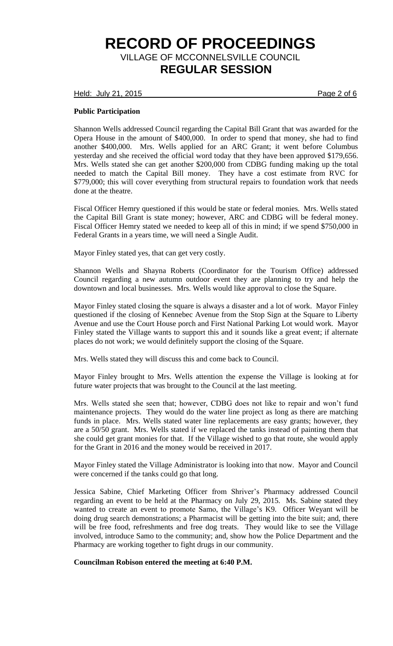Held: July 21, 2015 Page 2 of 6

### **Public Participation**

Shannon Wells addressed Council regarding the Capital Bill Grant that was awarded for the Opera House in the amount of \$400,000. In order to spend that money, she had to find another \$400,000. Mrs. Wells applied for an ARC Grant; it went before Columbus yesterday and she received the official word today that they have been approved \$179,656. Mrs. Wells stated she can get another \$200,000 from CDBG funding making up the total needed to match the Capital Bill money. They have a cost estimate from RVC for \$779,000; this will cover everything from structural repairs to foundation work that needs done at the theatre.

Fiscal Officer Hemry questioned if this would be state or federal monies. Mrs. Wells stated the Capital Bill Grant is state money; however, ARC and CDBG will be federal money. Fiscal Officer Hemry stated we needed to keep all of this in mind; if we spend \$750,000 in Federal Grants in a years time, we will need a Single Audit.

Mayor Finley stated yes, that can get very costly.

Shannon Wells and Shayna Roberts (Coordinator for the Tourism Office) addressed Council regarding a new autumn outdoor event they are planning to try and help the downtown and local businesses. Mrs. Wells would like approval to close the Square.

Mayor Finley stated closing the square is always a disaster and a lot of work. Mayor Finley questioned if the closing of Kennebec Avenue from the Stop Sign at the Square to Liberty Avenue and use the Court House porch and First National Parking Lot would work. Mayor Finley stated the Village wants to support this and it sounds like a great event; if alternate places do not work; we would definitely support the closing of the Square.

Mrs. Wells stated they will discuss this and come back to Council.

Mayor Finley brought to Mrs. Wells attention the expense the Village is looking at for future water projects that was brought to the Council at the last meeting.

Mrs. Wells stated she seen that; however, CDBG does not like to repair and won't fund maintenance projects. They would do the water line project as long as there are matching funds in place. Mrs. Wells stated water line replacements are easy grants; however, they are a 50/50 grant. Mrs. Wells stated if we replaced the tanks instead of painting them that she could get grant monies for that. If the Village wished to go that route, she would apply for the Grant in 2016 and the money would be received in 2017.

Mayor Finley stated the Village Administrator is looking into that now. Mayor and Council were concerned if the tanks could go that long.

Jessica Sabine, Chief Marketing Officer from Shriver's Pharmacy addressed Council regarding an event to be held at the Pharmacy on July 29, 2015. Ms. Sabine stated they wanted to create an event to promote Samo, the Village's K9. Officer Weyant will be doing drug search demonstrations; a Pharmacist will be getting into the bite suit; and, there will be free food, refreshments and free dog treats. They would like to see the Village involved, introduce Samo to the community; and, show how the Police Department and the Pharmacy are working together to fight drugs in our community.

### **Councilman Robison entered the meeting at 6:40 P.M.**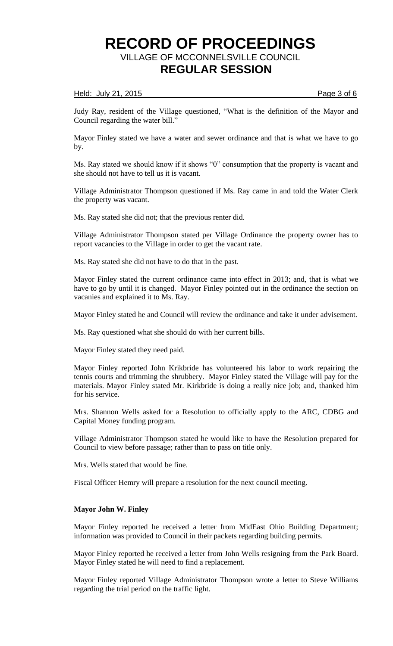### Held: July 21, 2015 **Page 3 of 6**

Judy Ray, resident of the Village questioned, "What is the definition of the Mayor and Council regarding the water bill."

Mayor Finley stated we have a water and sewer ordinance and that is what we have to go by.

Ms. Ray stated we should know if it shows "0" consumption that the property is vacant and she should not have to tell us it is vacant.

Village Administrator Thompson questioned if Ms. Ray came in and told the Water Clerk the property was vacant.

Ms. Ray stated she did not; that the previous renter did.

Village Administrator Thompson stated per Village Ordinance the property owner has to report vacancies to the Village in order to get the vacant rate.

Ms. Ray stated she did not have to do that in the past.

Mayor Finley stated the current ordinance came into effect in 2013; and, that is what we have to go by until it is changed. Mayor Finley pointed out in the ordinance the section on vacanies and explained it to Ms. Ray.

Mayor Finley stated he and Council will review the ordinance and take it under advisement.

Ms. Ray questioned what she should do with her current bills.

Mayor Finley stated they need paid.

Mayor Finley reported John Krikbride has volunteered his labor to work repairing the tennis courts and trimming the shrubbery. Mayor Finley stated the Village will pay for the materials. Mayor Finley stated Mr. Kirkbride is doing a really nice job; and, thanked him for his service.

Mrs. Shannon Wells asked for a Resolution to officially apply to the ARC, CDBG and Capital Money funding program.

Village Administrator Thompson stated he would like to have the Resolution prepared for Council to view before passage; rather than to pass on title only.

Mrs. Wells stated that would be fine.

Fiscal Officer Hemry will prepare a resolution for the next council meeting.

### **Mayor John W. Finley**

Mayor Finley reported he received a letter from MidEast Ohio Building Department; information was provided to Council in their packets regarding building permits.

Mayor Finley reported he received a letter from John Wells resigning from the Park Board. Mayor Finley stated he will need to find a replacement.

Mayor Finley reported Village Administrator Thompson wrote a letter to Steve Williams regarding the trial period on the traffic light.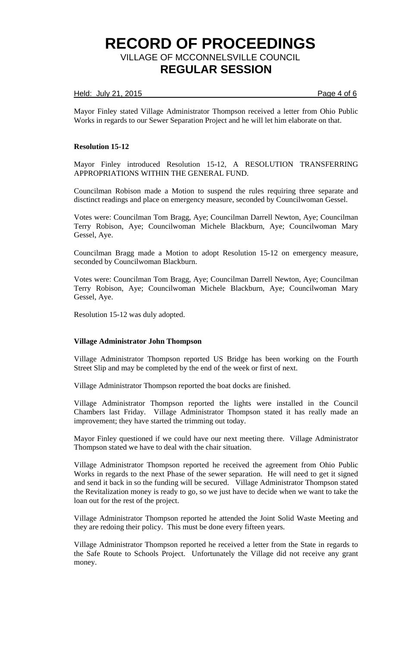### Held: July 21, 2015 **Page 4 of 6**

Mayor Finley stated Village Administrator Thompson received a letter from Ohio Public Works in regards to our Sewer Separation Project and he will let him elaborate on that.

### **Resolution 15-12**

Mayor Finley introduced Resolution 15-12, A RESOLUTION TRANSFERRING APPROPRIATIONS WITHIN THE GENERAL FUND.

Councilman Robison made a Motion to suspend the rules requiring three separate and disctinct readings and place on emergency measure, seconded by Councilwoman Gessel.

Votes were: Councilman Tom Bragg, Aye; Councilman Darrell Newton, Aye; Councilman Terry Robison, Aye; Councilwoman Michele Blackburn, Aye; Councilwoman Mary Gessel, Aye.

Councilman Bragg made a Motion to adopt Resolution 15-12 on emergency measure, seconded by Councilwoman Blackburn.

Votes were: Councilman Tom Bragg, Aye; Councilman Darrell Newton, Aye; Councilman Terry Robison, Aye; Councilwoman Michele Blackburn, Aye; Councilwoman Mary Gessel, Aye.

Resolution 15-12 was duly adopted.

### **Village Administrator John Thompson**

Village Administrator Thompson reported US Bridge has been working on the Fourth Street Slip and may be completed by the end of the week or first of next.

Village Administrator Thompson reported the boat docks are finished.

Village Administrator Thompson reported the lights were installed in the Council Chambers last Friday. Village Administrator Thompson stated it has really made an improvement; they have started the trimming out today.

Mayor Finley questioned if we could have our next meeting there. Village Administrator Thompson stated we have to deal with the chair situation.

Village Administrator Thompson reported he received the agreement from Ohio Public Works in regards to the next Phase of the sewer separation. He will need to get it signed and send it back in so the funding will be secured. Village Administrator Thompson stated the Revitalization money is ready to go, so we just have to decide when we want to take the loan out for the rest of the project.

Village Administrator Thompson reported he attended the Joint Solid Waste Meeting and they are redoing their policy. This must be done every fifteen years.

Village Administrator Thompson reported he received a letter from the State in regards to the Safe Route to Schools Project. Unfortunately the Village did not receive any grant money.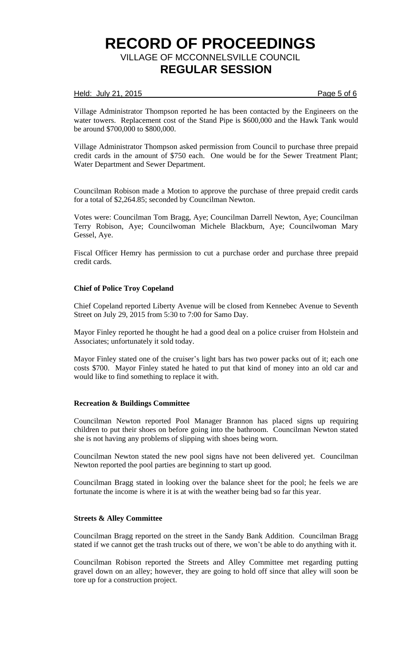### Held: July 21, 2015 **Page 5 of 6**

Village Administrator Thompson reported he has been contacted by the Engineers on the water towers. Replacement cost of the Stand Pipe is \$600,000 and the Hawk Tank would be around \$700,000 to \$800,000.

Village Administrator Thompson asked permission from Council to purchase three prepaid credit cards in the amount of \$750 each. One would be for the Sewer Treatment Plant; Water Department and Sewer Department.

Councilman Robison made a Motion to approve the purchase of three prepaid credit cards for a total of \$2,264.85; seconded by Councilman Newton.

Votes were: Councilman Tom Bragg, Aye; Councilman Darrell Newton, Aye; Councilman Terry Robison, Aye; Councilwoman Michele Blackburn, Aye; Councilwoman Mary Gessel, Aye.

Fiscal Officer Hemry has permission to cut a purchase order and purchase three prepaid credit cards.

### **Chief of Police Troy Copeland**

Chief Copeland reported Liberty Avenue will be closed from Kennebec Avenue to Seventh Street on July 29, 2015 from 5:30 to 7:00 for Samo Day.

Mayor Finley reported he thought he had a good deal on a police cruiser from Holstein and Associates; unfortunately it sold today.

Mayor Finley stated one of the cruiser's light bars has two power packs out of it; each one costs \$700. Mayor Finley stated he hated to put that kind of money into an old car and would like to find something to replace it with.

### **Recreation & Buildings Committee**

Councilman Newton reported Pool Manager Brannon has placed signs up requiring children to put their shoes on before going into the bathroom. Councilman Newton stated she is not having any problems of slipping with shoes being worn.

Councilman Newton stated the new pool signs have not been delivered yet. Councilman Newton reported the pool parties are beginning to start up good.

Councilman Bragg stated in looking over the balance sheet for the pool; he feels we are fortunate the income is where it is at with the weather being bad so far this year.

## **Streets & Alley Committee**

Councilman Bragg reported on the street in the Sandy Bank Addition. Councilman Bragg stated if we cannot get the trash trucks out of there, we won't be able to do anything with it.

Councilman Robison reported the Streets and Alley Committee met regarding putting gravel down on an alley; however, they are going to hold off since that alley will soon be tore up for a construction project.